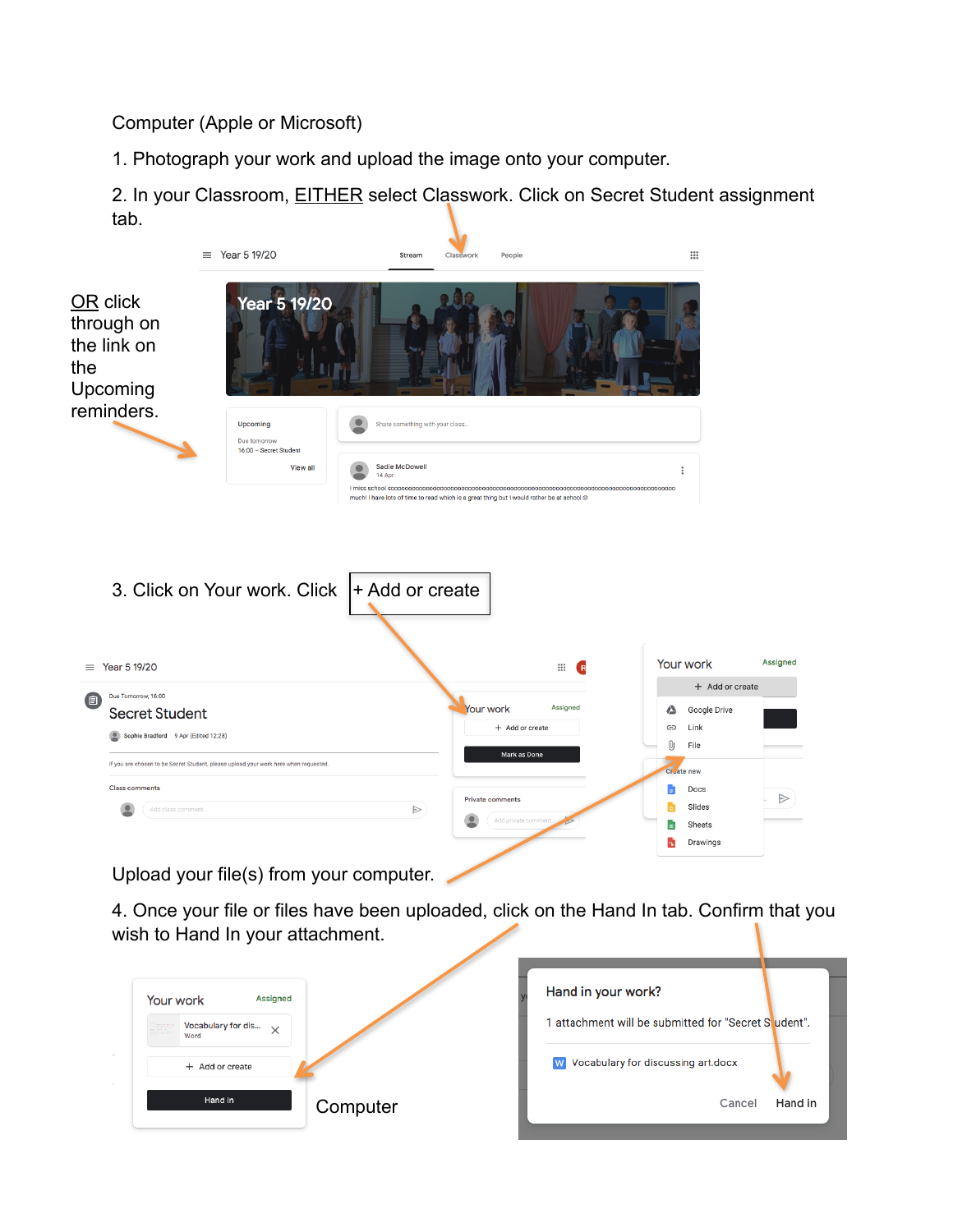Computer (Apple or Microsoft)

1. Photograph your work and upload the image onto your computer.

2. In your Classroom, **EITHER** select Classwork. Click on Secret Student assignment tab.



Upload your file(s) from your computer.

4. Once your file or files have been uploaded, click on the Hand In tab. Confirm that you wish to Hand In your attachment.

| Assigned<br>Your work               | Hand in your work?                                   |
|-------------------------------------|------------------------------------------------------|
| Vocabulary for dis $\times$<br>Word | 1 attachment will be submitted for "Secret Student". |
| + Add or create                     | <b>W</b> Vocabulary for discussing art.docx          |
| Hand in<br>Computer                 | Hand in<br>Cancel                                    |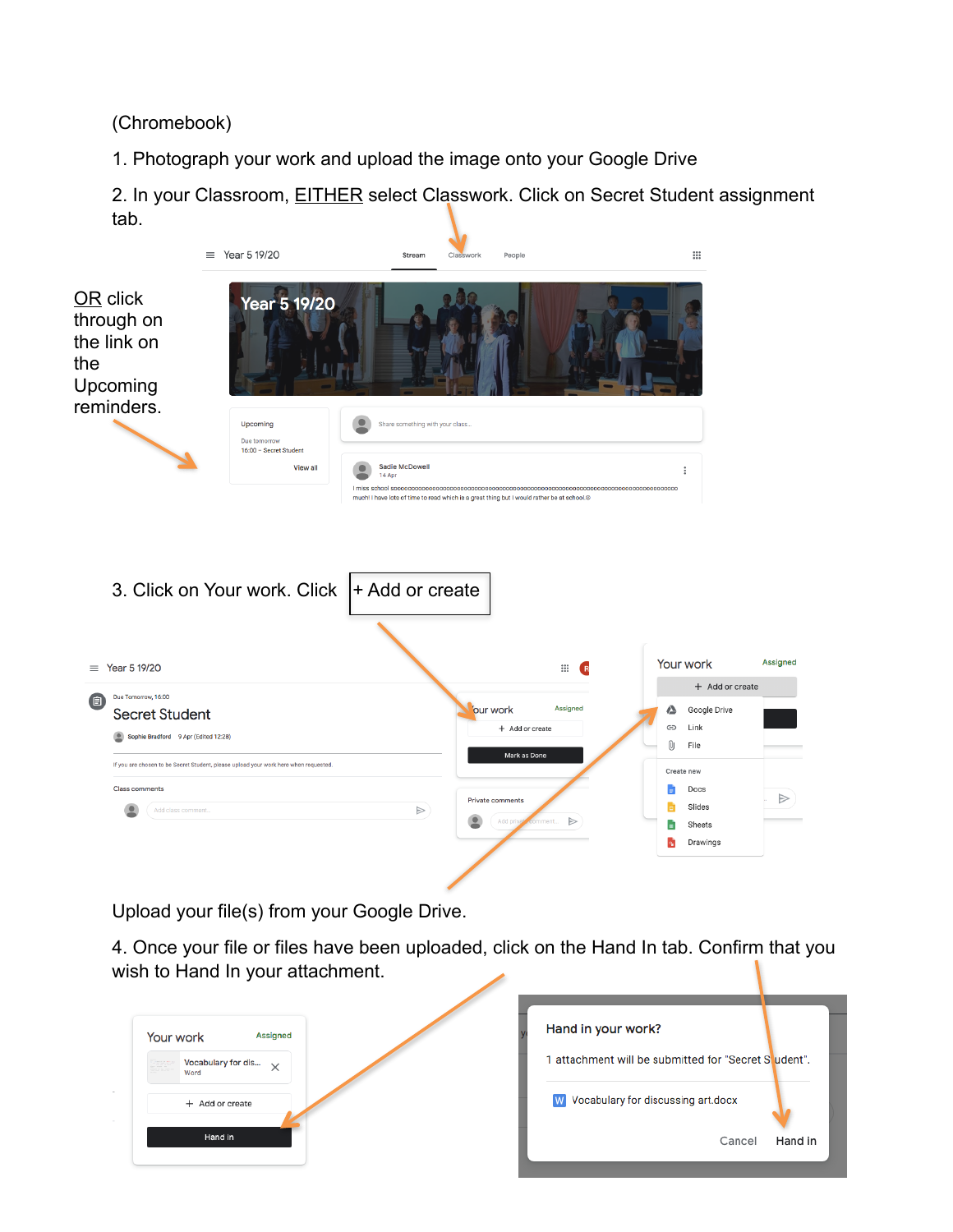(Chromebook)

1. Photograph your work and upload the image onto your Google Drive

2. In your Classroom, **EITHER** select Classwork. Click on Secret Student assignment tab.



Upload your file(s) from your Google Drive.

4. Once your file or files have been uploaded, click on the Hand In tab. Confirm that you wish to Hand In your attachment.

| Your work                                        | <b>Assigned</b> | Hand in your work?                                 |
|--------------------------------------------------|-----------------|----------------------------------------------------|
| Vocabulary for dis<br>Service<br>Externé<br>Word | $\times$        | attachment will be submitted for "Secret Student". |
| + Add or create                                  |                 | W Vocabulary for discussing art.docx               |
| Hand in                                          |                 | Hand in<br>Cancel                                  |